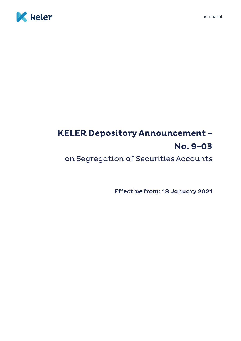



## **KELER Depository Announcement -**No. 9-03

on Segregation of Securities Accounts

**Effective from: 18 January 2021**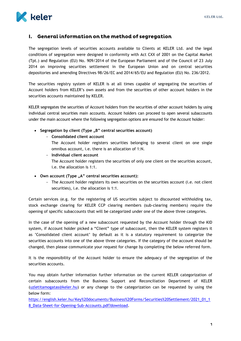

## I. General information on the method of segregation

The segregation levels of securities accounts available to Clients at KELER Ltd. and the legal conditions of segregation were designed in conformity with Act CXX of 2001 on the Capital Market (Tpt.) and Regulation (EU) No. 909/2014 of the European Parliament and of the Council of 23 July 2014 on improving securities settlement in the European Union and on central securities depositories and amending Directives 98/26/EC and 2014/65/EU and Regulation (EU) No. 236/2012.

The securities registry system of KELER is at all times capable of segregating the securities of Account holders from KELER's own assets and from the securities of other account holders in the securities accounts maintained by KELER.

KELER segregates the securities of Account holders from the securities of other account holders by using individual central securities main accounts. Account holders can proceed to open several subaccounts under the main account where the following segregation options are ensured for the Account holder:

- **Segregation by client (Type "B" central securities account)**
	- **Consolidated client account**
		- The Account holder registers securities belonging to several client on one single omnibus account, i.e. there is an allocation of 1:N.
	- **Individual client account** The Account holder registers the securities of only one client on the securities account, i.e. the allocation is 1:1.
- **Own account (Type "A" central securities account):**
	- The Account holder registers its own securities on the securities account (i.e. not client securities), i.e. the allocation is 1:1.

Certain services (e.g. for the registering of US securities subject to discounted withholding tax, stock exchange clearing for KELER CCP clearing members (sub-clearing members) require the opening of specific subaccounts that will be categorized under one of the above three categories.

In the case of the opening of a new subaccount requested by the Account holder through the KID system, if Account holder picked a "Client" type of subaccount, then the KELER system registers it as 'Consolidated client account' by default as it is a statutory requirement to categorize the securities accounts into one of the above three categories. If the category of the account should be changed, then please communicate your request for change by completing the below referred form.

It is the responsibility of the Account holder to ensure the adequacy of the segregation of the securities accounts.

You may obtain further information further information on the current KELER categorization of certain subaccounts from the Business Support and Reconciliation Department of KELER [\(uzletitamogatas@keler.hu\)](mailto:uzletitamogatas@keler.hu) or any change to the categorization can be requested by using the below form:

[https://english.keler.hu/Key%20documents/Business%20Forms/Securities%20Settlement/2021\\_01\\_1](https://english.keler.hu/Key%20documents/Business%20Forms/Securities%20Settlement/2021_01_18_Data-Sheet-for-Opening-Sub-Accounts.pdf?download) [8\\_Data-Sheet-for-Opening-Sub-Accounts.pdf?download.](https://english.keler.hu/Key%20documents/Business%20Forms/Securities%20Settlement/2021_01_18_Data-Sheet-for-Opening-Sub-Accounts.pdf?download)